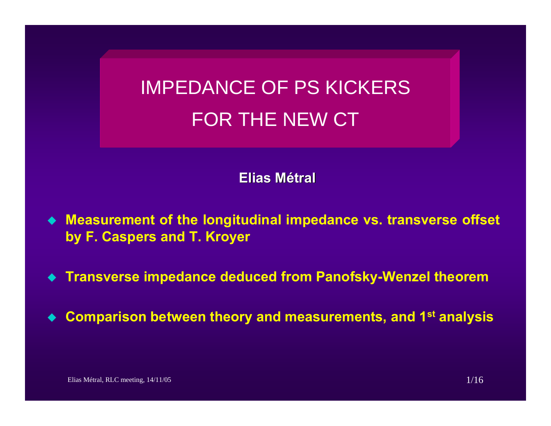# IMPEDANCE OF PS KICKERS FOR THE NEW CT

**Elias Métral**

- **Measurement of the longitudinal impedance vs. transverse offset by F. Caspers and T. Kroyer**
- **Transverse impedance deduced from Panofsky-Wenzel theorem**
- $\blacklozenge$ **Comparison between theory and measurements, and 1st analysis**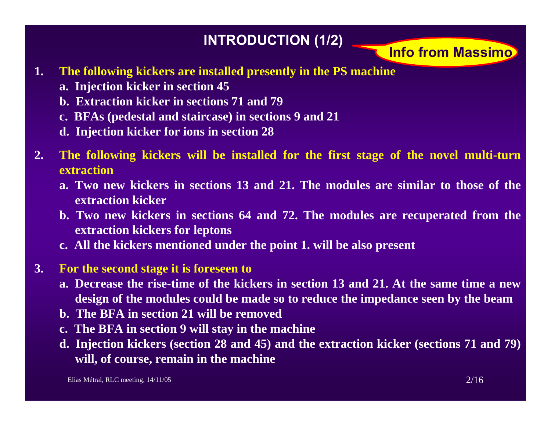## **INTRODUCTION (1/2) Info from Massimo**

- **1. The following kickers are installed presently in the PS machine**
	- **a. Injection kicker in section 45**
	- **b. Extraction kicker in sections 71 and 79**
	- **c. BFAs (pedestal and staircase) in sections 9 and 21**
	- **d. Injection kicker for ions in section 28**
- **2. The following kickers will be installed for the first stage of the novel multi-turn extraction**
	- **a. Two new kickers in sections 13 and 21. The modules are similar to those of the extraction kicker**
	- **b. Two new kickers in sections 64 and 72. The modules are recuperated from the extraction kickers for leptons**
	- **c. All the kickers mentioned under the point 1. will be also present**
- **3. For the second stage it is foreseen to**
	- **a. Decrease the rise-time of the kickers in section 13 and 21. At the same time a newdesign of the modules could be made so to reduce the impedance seen by the beam**
	- **b. The BFA in section 21 will be removed**
	- **c. The BFA in section 9 will stay in the machine**
	- **d. Injection kickers (section 28 and 45) and the extraction kicker (sections 71 and 79) will, of course, remain in the machine**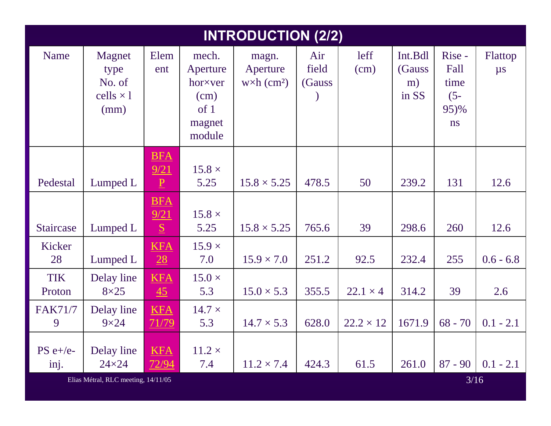| <b>INTRODUCTION (2/2)</b> |                                                                   |                                       |                                                                  |                                                      |                        |                  |                                   |                                                |                    |
|---------------------------|-------------------------------------------------------------------|---------------------------------------|------------------------------------------------------------------|------------------------------------------------------|------------------------|------------------|-----------------------------------|------------------------------------------------|--------------------|
| <b>Name</b>               | Magnet<br>type<br>No. of<br>cells $\times$ 1<br>(mm)              | Elem<br>ent                           | mech.<br>Aperture<br>hor×ver<br>(cm)<br>of 1<br>magnet<br>module | magn.<br>Aperture<br>$w \times h$ (cm <sup>2</sup> ) | Air<br>field<br>(Gauss | leff<br>(cm)     | Int.Bdl<br>(Gauss)<br>m)<br>in SS | Rise -<br>Fall<br>time<br>$(5 -$<br>95)%<br>ns | Flattop<br>$\mu s$ |
| Pedestal                  | Lumped L                                                          | <b>BFA</b><br>9/21<br>$\underline{P}$ | $15.8 \times$<br>5.25                                            | $15.8 \times 5.25$                                   | 478.5                  | 50               | 239.2                             | 131                                            | 12.6               |
| Staircase                 | Lumped L                                                          | <b>BFA</b><br>9/21<br>S               | $15.8 \times$<br>5.25                                            | $15.8 \times 5.25$                                   | 765.6                  | 39               | 298.6                             | 260                                            | 12.6               |
| Kicker<br>28              | Lumped L                                                          | <b>KFA</b><br>28                      | $15.9 \times$<br>7.0                                             | $15.9 \times 7.0$                                    | 251.2                  | 92.5             | 232.4                             | 255                                            | $0.6 - 6.8$        |
| <b>TIK</b><br>Proton      | Delay line<br>$8\times25$                                         | <b>KFA</b><br>45                      | $15.0 \times$<br>5.3                                             | $15.0 \times 5.3$                                    | 355.5                  | $22.1 \times 4$  | 314.2                             | 39                                             | 2.6                |
| <b>FAK71/7</b><br>9       | Delay line<br>$9\times24$                                         | <b>KFA</b><br>71/79                   | $14.7 \times$<br>5.3                                             | $14.7 \times 5.3$                                    | 628.0                  | $22.2 \times 12$ | 1671.9                            | $68 - 70$                                      | $0.1 - 2.1$        |
| $PS e+/e-$<br>inj.        | Delay line<br>$24\times24$<br>Elias Métral, RLC meeting, 14/11/05 | <b>KFA</b><br>72/94                   | $11.2 \times$<br>7.4                                             | $11.2 \times 7.4$                                    | 424.3                  | 61.5             | 261.0                             | $87 - 90$<br>3/16                              | $0.1 - 2.1$        |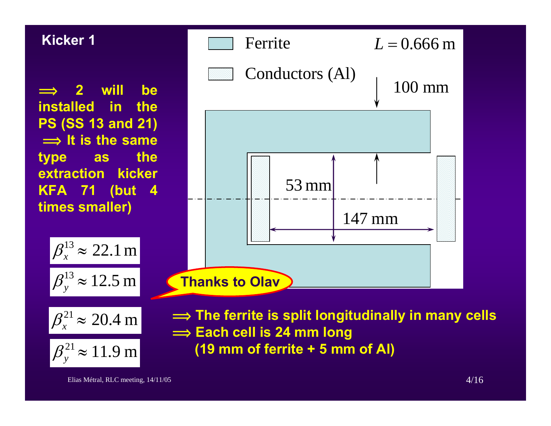#### **Kicker 1**

 $\implies$  **2 will be installed in the PS (SS 13 and 21)**  $\implies$  It is the same **type as the extraction kicker KFA 71 (but 4 times smaller)**





 $\implies$  The ferrite is split longitudinally in many cells  $\implies$  Each cell is 24 mm long **(19 mm of ferrite + 5 mm of Al) Thanks to Olav**

147 mm

Ferrite

Conductors (Al)

53 mm

#### Elias Métral, RLC meeting, 14/11/05 4/16

100 mm

*L* <sup>=</sup> 0.666 <sup>m</sup>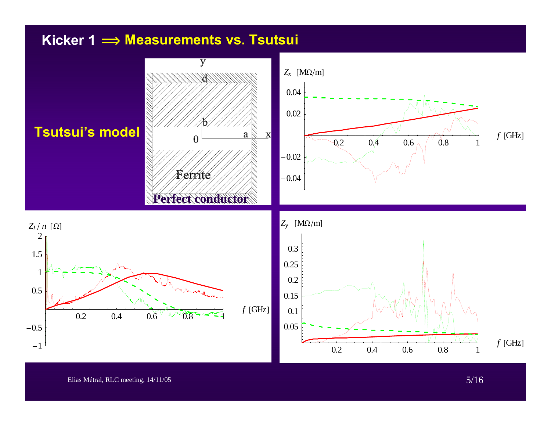#### **Kicker 1 î Measurements vs. Tsutsui**



Elias Métral, RLC meeting, 14/11/05 5/16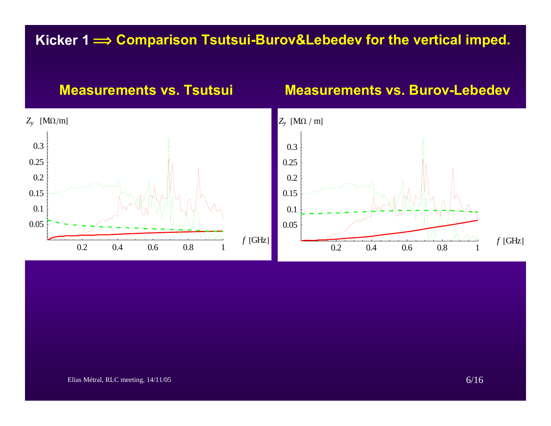#### **Kicker 1 î Comparison Tsutsui-Burov&Lebedev for the vertical imped.**



#### **Measurements vs. Burov-Lebedev**



Elias Métral, RLC meeting,  $14/11/05$  6/16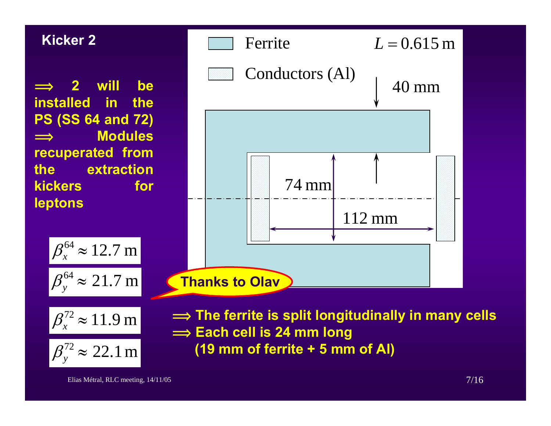#### **Kicker 2**

 $\implies$  **2 will be installed in the PS (SS 64 and 72)**  $\implies$  **Modules recuperated from the extraction kickers** for **leptons**

> $\beta_{\scriptscriptstyle \cal X}^{\scriptscriptstyle 64} \approx 12.7 \:\rm m$ 21.7 m $\beta_{y}^{64} \approx 21.7$





 $\implies$  The ferrite is split longitudinally in many cells  $\implies$  Each cell is 24 mm long **(19 mm of ferrite + 5 mm of Al)**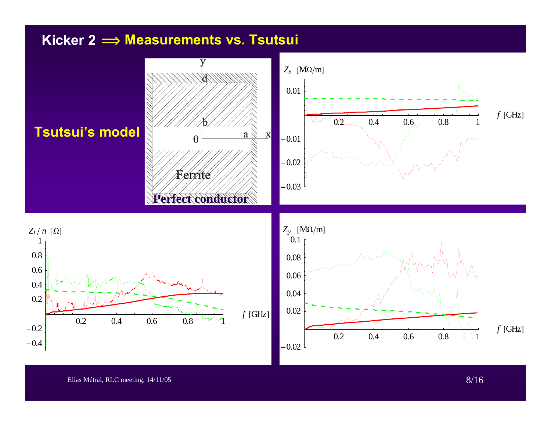#### **Kicker 2 î Measurements vs. Tsutsui**

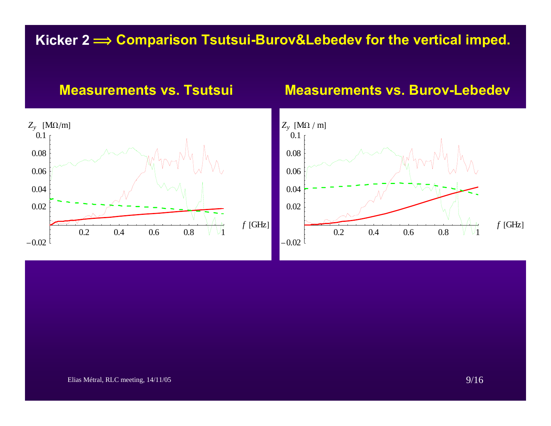#### **Kicker 2 î Comparison Tsutsui-Burov&Lebedev for the vertical imped.**



#### **Measurements vs. Tsutsui Measurements vs. Burov-Lebedev**

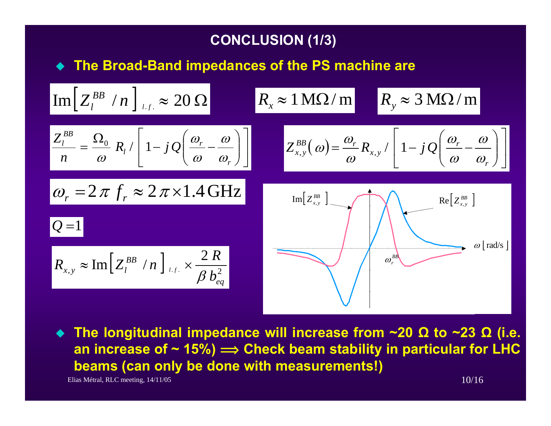#### **CONCLUSION (1/3)**

**The Broad-Band impedances of the PS machine are** 

$$
\begin{aligned}\n&\text{Im}\left[Z_{l}^{BB} / n\right]_{l,f.} \approx 20 \,\Omega \\
&\frac{Z_{l}^{BB}}{n} = \frac{\Omega_{0}}{\omega} R_{l} / \left[1 - j \mathcal{Q}\left(\frac{\omega_{r}}{\omega} - \frac{\omega}{\omega_{r}}\right)\right] \qquad Z_{x,y}^{BB}(\omega) = \frac{\omega_{r}}{\omega} R_{x,y} / \left[1 - j \mathcal{Q}\left(\frac{\omega_{r}}{\omega} - \frac{\omega}{\omega_{r}}\right)\right] \\
&\omega_{r} = 2 \pi f_{r} \approx 2 \pi \times 1.4 \,\text{GHz} \\
&\Omega = 1 \\
R_{x,y} \approx \text{Im}\left[Z_{l}^{BB} / n\right]_{l,f.} \times \frac{2 \, R}{\beta \, b_{eq}^{2}}\n\end{aligned}
$$

Elias Métral, RLC meeting,  $14/11/05$  10/16 **The longitudinal impedance will increase from ~20 Ω to ~23 Ω (i.e. an increase of ~ 15%) <sup>î</sup> Check beam stability in particular for LHC beams (can only be done with measurements!)**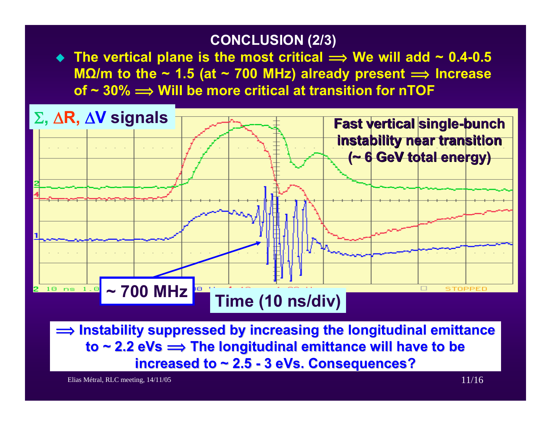#### **CONCLUSION (2/3)**

◆ The vertical plane is the most critical  $\implies$  We will add ~ 0.4-0.5 **MΩ/m to the ~ 1.5 (at ~ 700 MHz) already present <sup>î</sup> Increase of ~ 30% î Will be more critical at transition for nTOF**



 $\implies$  Instability suppressed by increasing the longitudinal emittance  $\mathsf{to}\ \textsf{\textbf{--2}}.2\ \textsf{eVs} \Longrightarrow \mathsf{The}\ \textsf{longitudinal}\ \textsf{emittance}\ \textsf{will}\ \textsf{have}\ \textsf{to}\ \textsf{be}$ **increased to ~ 2.5 - 3 eVs. Consequences?** 

Elias Métral, RLC meeting,  $14/11/05$  11/16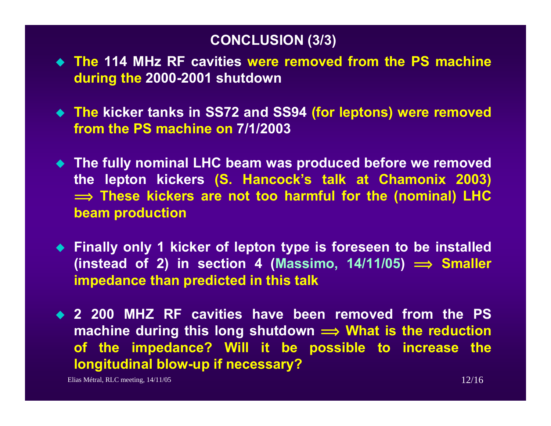#### **CONCLUSION (3/3)**

- **The 114 MHz RF cavities were removed from the PS machine during the 2000-2001 shutdown**
- **The kicker tanks in SS72 and SS94 (for leptons) were removed from the PS machine on 7/1/2003**
- **The fully nominal LHC beam was produced before we removed the lepton kickers (S. Hancock's talk at Chamonix 2003)**   $\implies$  These kickers are not too harmful for the (nominal) LHC **beam production**
- **Finally only 1 kicker of lepton type is foreseen to be installed** (instead of 2) in section 4 (Massimo,  $14/11/05$ )  $\implies$  Smaller **impedance than predicted in this talk**
- **2 200 MHZ RF cavities have been removed from the PS machine during this long shutdown**  $\implies$  **What is the reduction of the impedance? Will it be possible to increase the longitudinal blow-up if necessary?**

Elias Métral, RLC meeting,  $14/11/05$  12/16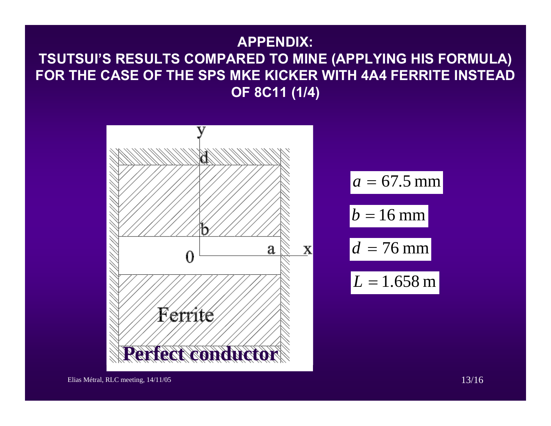### **APPENDIX: TSUTSUI'S RESULTS COMPARED TO MINE (APPLYING HIS FORMULA) FOR THE CASE OF THE SPS MKE KICKER WITH 4A4 FERRITE INSTEAD OF 8C11 (1/4)**



 $a = 67.5$  mm  $b = 16$  mm *d* <sup>=</sup> 76 mm*L* <sup>=</sup> 1.658 <sup>m</sup>

Elias Métral, RLC meeting,  $14/11/05$  13/16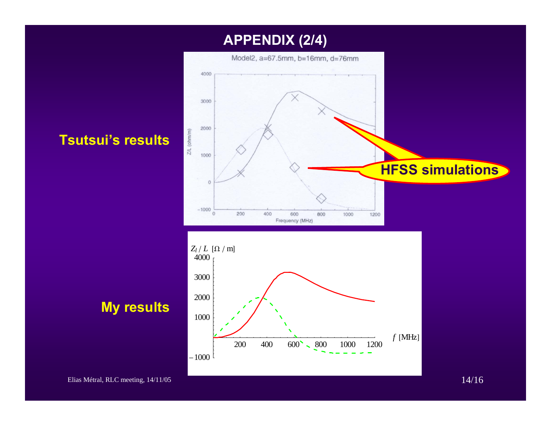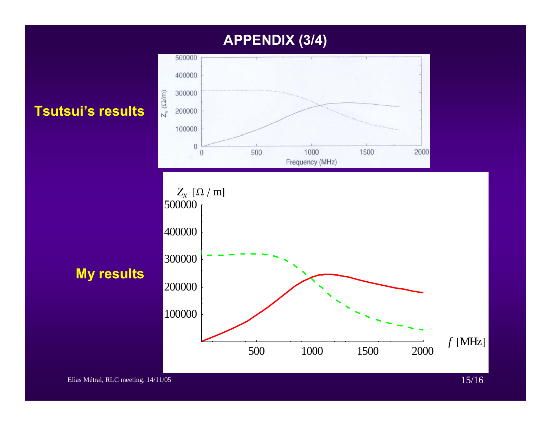#### **APPENDIX (3/4)**